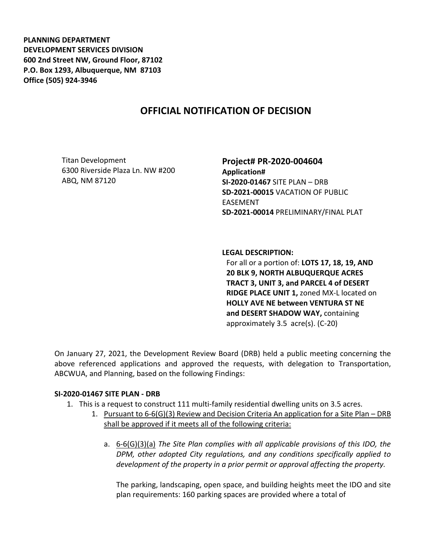**PLANNING DEPARTMENT DEVELOPMENT SERVICES DIVISION 600 2nd Street NW, Ground Floor, 87102 P.O. Box 1293, Albuquerque, NM 87103 Office (505) 924-3946** 

# **OFFICIAL NOTIFICATION OF DECISION**

Titan Development 6300 Riverside Plaza Ln. NW #200 ABQ, NM 87120

**Project# PR-2020-004604 Application# SI-2020-01467** SITE PLAN – DRB **SD-2021-00015** VACATION OF PUBLIC EASEMENT **SD-2021-00014** PRELIMINARY/FINAL PLAT

**LEGAL DESCRIPTION:**

For all or a portion of: **LOTS 17, 18, 19, AND 20 BLK 9, NORTH ALBUQUERQUE ACRES TRACT 3, UNIT 3, and PARCEL 4 of DESERT RIDGE PLACE UNIT 1,** zoned MX-L located on **HOLLY AVE NE between VENTURA ST NE and DESERT SHADOW WAY,** containing approximately 3.5 acre(s). (C-20)

On January 27, 2021, the Development Review Board (DRB) held a public meeting concerning the above referenced applications and approved the requests, with delegation to Transportation, ABCWUA, and Planning, based on the following Findings:

### **SI-2020-01467 SITE PLAN - DRB**

- 1. This is a request to construct 111 multi-family residential dwelling units on 3.5 acres.
	- 1. Pursuant to 6-6(G)(3) Review and Decision Criteria An application for a Site Plan DRB shall be approved if it meets all of the following criteria:
		- a. 6-6(G)(3)(a) *The Site Plan complies with all applicable provisions of this IDO, the DPM, other adopted City regulations, and any conditions specifically applied to development of the property in a prior permit or approval affecting the property.*

The parking, landscaping, open space, and building heights meet the IDO and site plan requirements: 160 parking spaces are provided where a total of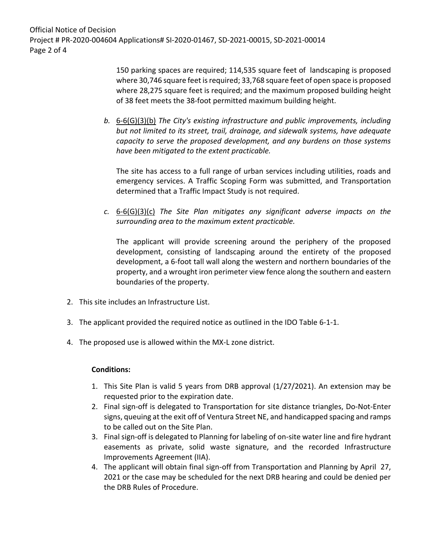Official Notice of Decision Project # PR-2020-004604 Applications# SI-2020-01467, SD-2021-00015, SD-2021-00014 Page 2 of 4

> 150 parking spaces are required; 114,535 square feet of landscaping is proposed where 30,746 square feet is required; 33,768 square feet of open space is proposed where 28,275 square feet is required; and the maximum proposed building height of 38 feet meets the 38-foot permitted maximum building height.

*b.* 6-6(G)(3)(b) *The City's existing infrastructure and public improvements, including but not limited to its street, trail, drainage, and sidewalk systems, have adequate capacity to serve the proposed development, and any burdens on those systems have been mitigated to the extent practicable.* 

The site has access to a full range of urban services including utilities, roads and emergency services. A Traffic Scoping Form was submitted, and Transportation determined that a Traffic Impact Study is not required.

*c.* 6-6(G)(3)(c) *The Site Plan mitigates any significant adverse impacts on the surrounding area to the maximum extent practicable.* 

The applicant will provide screening around the periphery of the proposed development, consisting of landscaping around the entirety of the proposed development, a 6-foot tall wall along the western and northern boundaries of the property, and a wrought iron perimeter view fence along the southern and eastern boundaries of the property.

- 2. This site includes an Infrastructure List.
- 3. The applicant provided the required notice as outlined in the IDO Table 6-1-1.
- 4. The proposed use is allowed within the MX-L zone district.

### **Conditions:**

- 1. This Site Plan is valid 5 years from DRB approval (1/27/2021). An extension may be requested prior to the expiration date.
- 2. Final sign-off is delegated to Transportation for site distance triangles, Do-Not-Enter signs, queuing at the exit off of Ventura Street NE, and handicapped spacing and ramps to be called out on the Site Plan.
- 3. Final sign-off is delegated to Planning for labeling of on-site water line and fire hydrant easements as private, solid waste signature, and the recorded Infrastructure Improvements Agreement (IIA).
- 4. The applicant will obtain final sign-off from Transportation and Planning by April 27, 2021 or the case may be scheduled for the next DRB hearing and could be denied per the DRB Rules of Procedure.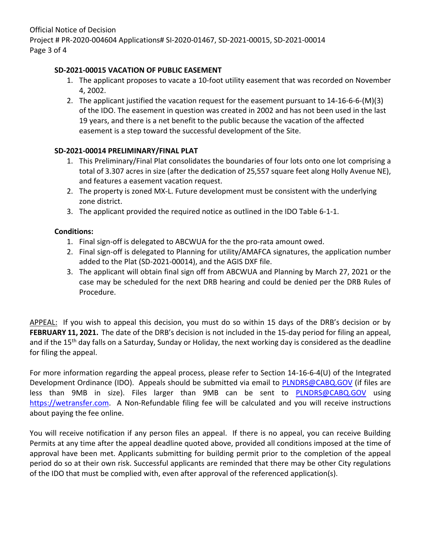## **SD-2021-00015 VACATION OF PUBLIC EASEMENT**

- 1. The applicant proposes to vacate a 10-foot utility easement that was recorded on November 4, 2002.
- 2. The applicant justified the vacation request for the easement pursuant to 14-16-6-6-(M)(3) of the IDO. The easement in question was created in 2002 and has not been used in the last 19 years, and there is a net benefit to the public because the vacation of the affected easement is a step toward the successful development of the Site.

# **SD-2021-00014 PRELIMINARY/FINAL PLAT**

- 1. This Preliminary/Final Plat consolidates the boundaries of four lots onto one lot comprising a total of 3.307 acres in size (after the dedication of 25,557 square feet along Holly Avenue NE), and features a easement vacation request.
- 2. The property is zoned MX-L. Future development must be consistent with the underlying zone district.
- 3. The applicant provided the required notice as outlined in the IDO Table 6-1-1.

## **Conditions:**

- 1. Final sign-off is delegated to ABCWUA for the the pro-rata amount owed.
- 2. Final sign-off is delegated to Planning for utility/AMAFCA signatures, the application number added to the Plat (SD-2021-00014), and the AGIS DXF file.
- 3. The applicant will obtain final sign off from ABCWUA and Planning by March 27, 2021 or the case may be scheduled for the next DRB hearing and could be denied per the DRB Rules of Procedure.

APPEAL: If you wish to appeal this decision, you must do so within 15 days of the DRB's decision or by **FEBRUARY 11, 2021.** The date of the DRB's decision is not included in the 15-day period for filing an appeal, and if the 15<sup>th</sup> day falls on a Saturday, Sunday or Holiday, the next working day is considered as the deadline for filing the appeal.

For more information regarding the appeal process, please refer to Section 14-16-6-4(U) of the Integrated Development Ordinance (IDO). Appeals should be submitted via email to [PLNDRS@CABQ.GOV](mailto:PLNDRS@CABQ.GOV) (if files are less than 9MB in size). Files larger than 9MB can be sent to [PLNDRS@CABQ.GOV](mailto:PLNDRS@CABQ.GOV) using [https://wetransfer.com.](https://wetransfer.com/) A Non-Refundable filing fee will be calculated and you will receive instructions about paying the fee online.

You will receive notification if any person files an appeal. If there is no appeal, you can receive Building Permits at any time after the appeal deadline quoted above, provided all conditions imposed at the time of approval have been met. Applicants submitting for building permit prior to the completion of the appeal period do so at their own risk. Successful applicants are reminded that there may be other City regulations of the IDO that must be complied with, even after approval of the referenced application(s).